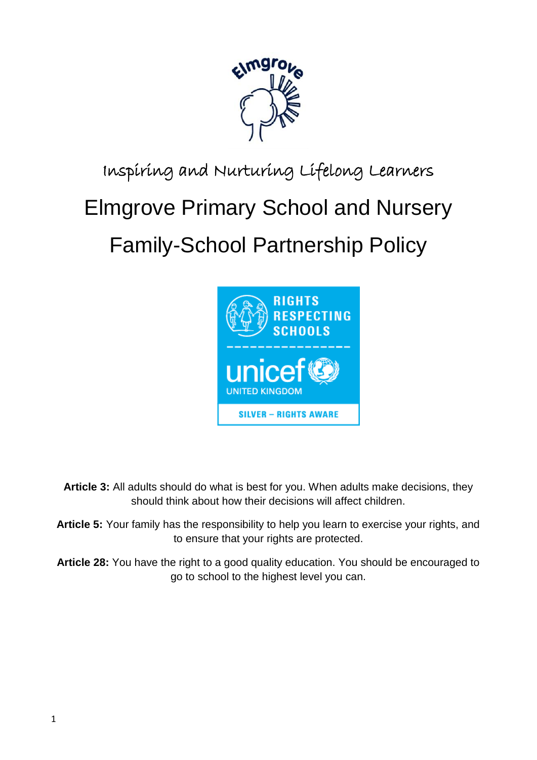

# Inspiring and Nurturing Lifelong Learners

# Elmgrove Primary School and Nursery

# Family-School Partnership Policy



**Article 3:** All adults should do what is best for you. When adults make decisions, they should think about how their decisions will affect children.

**Article 5:** Your family has the responsibility to help you learn to exercise your rights, and to ensure that your rights are protected.

**Article 28:** You have the right to a good quality education. You should be encouraged to go to school to the highest level you can.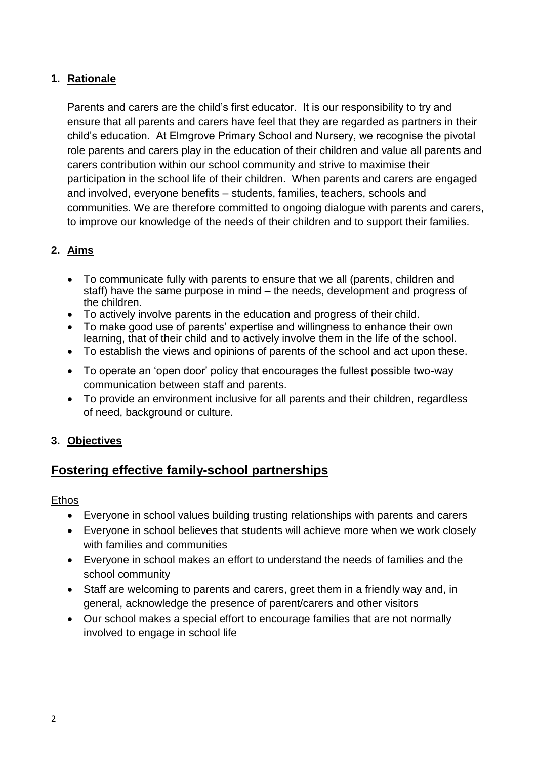# **1. Rationale**

Parents and carers are the child's first educator. It is our responsibility to try and ensure that all parents and carers have feel that they are regarded as partners in their child's education. At Elmgrove Primary School and Nursery, we recognise the pivotal role parents and carers play in the education of their children and value all parents and carers contribution within our school community and strive to maximise their participation in the school life of their children. When parents and carers are engaged and involved, everyone benefits – students, families, teachers, schools and communities. We are therefore committed to ongoing dialogue with parents and carers, to improve our knowledge of the needs of their children and to support their families.

# **2. Aims**

- To communicate fully with parents to ensure that we all (parents, children and staff) have the same purpose in mind – the needs, development and progress of the children.
- To actively involve parents in the education and progress of their child.
- To make good use of parents' expertise and willingness to enhance their own learning, that of their child and to actively involve them in the life of the school.
- To establish the views and opinions of parents of the school and act upon these.
- To operate an 'open door' policy that encourages the fullest possible two-way communication between staff and parents.
- To provide an environment inclusive for all parents and their children, regardless of need, background or culture.

# **3. Objectives**

# **Fostering effective family-school partnerships**

#### Ethos

- Everyone in school values building trusting relationships with parents and carers
- Everyone in school believes that students will achieve more when we work closely with families and communities
- Everyone in school makes an effort to understand the needs of families and the school community
- Staff are welcoming to parents and carers, greet them in a friendly way and, in general, acknowledge the presence of parent/carers and other visitors
- Our school makes a special effort to encourage families that are not normally involved to engage in school life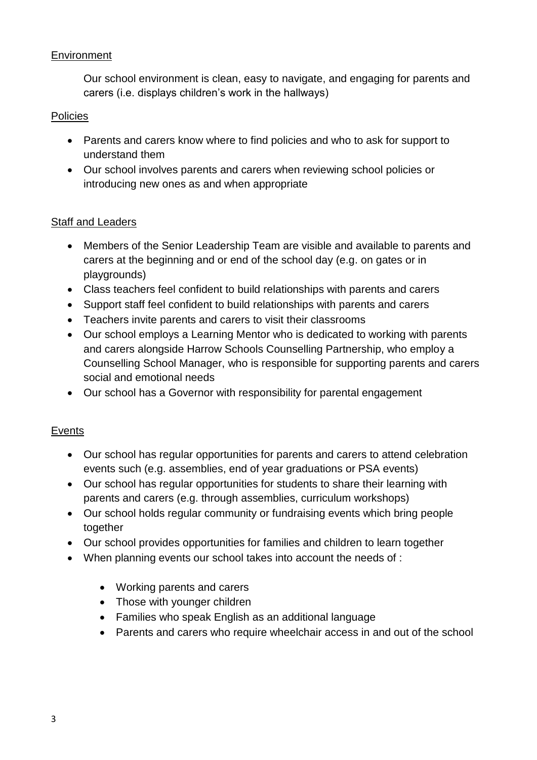# **Environment**

Our school environment is clean, easy to navigate, and engaging for parents and carers (i.e. displays children's work in the hallways)

# Policies

- Parents and carers know where to find policies and who to ask for support to understand them
- Our school involves parents and carers when reviewing school policies or introducing new ones as and when appropriate

# Staff and Leaders

- Members of the Senior Leadership Team are visible and available to parents and carers at the beginning and or end of the school day (e.g. on gates or in playgrounds)
- Class teachers feel confident to build relationships with parents and carers
- Support staff feel confident to build relationships with parents and carers
- Teachers invite parents and carers to visit their classrooms
- Our school employs a Learning Mentor who is dedicated to working with parents and carers alongside Harrow Schools Counselling Partnership, who employ a Counselling School Manager, who is responsible for supporting parents and carers social and emotional needs
- Our school has a Governor with responsibility for parental engagement

# Events

- Our school has regular opportunities for parents and carers to attend celebration events such (e.g. assemblies, end of year graduations or PSA events)
- Our school has regular opportunities for students to share their learning with parents and carers (e.g. through assemblies, curriculum workshops)
- Our school holds regular community or fundraising events which bring people together
- Our school provides opportunities for families and children to learn together
- When planning events our school takes into account the needs of :
	- Working parents and carers
	- Those with younger children
	- Families who speak English as an additional language
	- Parents and carers who require wheelchair access in and out of the school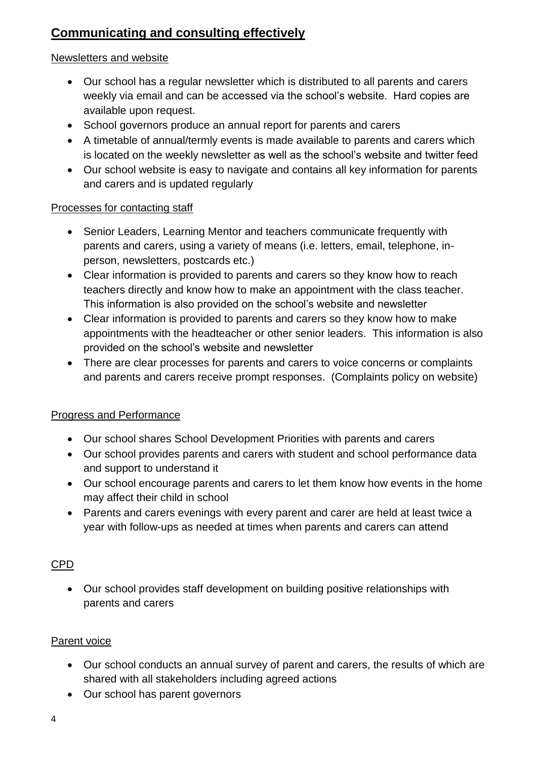# **Communicating and consulting effectively**

#### Newsletters and website

- Our school has a regular newsletter which is distributed to all parents and carers weekly via email and can be accessed via the school's website. Hard copies are available upon request.
- School governors produce an annual report for parents and carers
- A timetable of annual/termly events is made available to parents and carers which is located on the weekly newsletter as well as the school's website and twitter feed
- Our school website is easy to navigate and contains all key information for parents and carers and is updated regularly

#### Processes for contacting staff

- Senior Leaders, Learning Mentor and teachers communicate frequently with parents and carers, using a variety of means (i.e. letters, email, telephone, inperson, newsletters, postcards etc.)
- Clear information is provided to parents and carers so they know how to reach teachers directly and know how to make an appointment with the class teacher. This information is also provided on the school's website and newsletter
- Clear information is provided to parents and carers so they know how to make appointments with the headteacher or other senior leaders. This information is also provided on the school's website and newsletter
- There are clear processes for parents and carers to voice concerns or complaints and parents and carers receive prompt responses. (Complaints policy on website)

# Progress and Performance

- Our school shares School Development Priorities with parents and carers
- Our school provides parents and carers with student and school performance data and support to understand it
- Our school encourage parents and carers to let them know how events in the home may affect their child in school
- Parents and carers evenings with every parent and carer are held at least twice a year with follow-ups as needed at times when parents and carers can attend

# CPD

 Our school provides staff development on building positive relationships with parents and carers

# Parent voice

- Our school conducts an annual survey of parent and carers, the results of which are shared with all stakeholders including agreed actions
- Our school has parent governors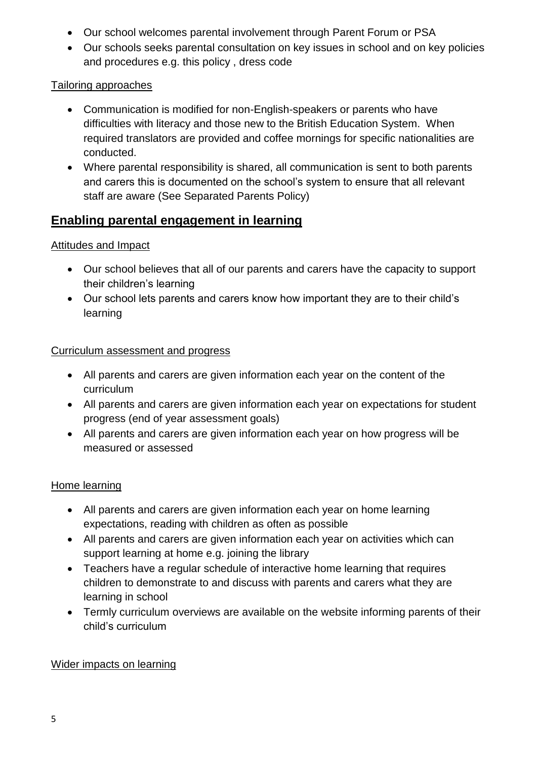- Our school welcomes parental involvement through Parent Forum or PSA
- Our schools seeks parental consultation on key issues in school and on key policies and procedures e.g. this policy , dress code

# Tailoring approaches

- Communication is modified for non-English-speakers or parents who have difficulties with literacy and those new to the British Education System. When required translators are provided and coffee mornings for specific nationalities are conducted.
- Where parental responsibility is shared, all communication is sent to both parents and carers this is documented on the school's system to ensure that all relevant staff are aware (See Separated Parents Policy)

# **Enabling parental engagement in learning**

# Attitudes and Impact

- Our school believes that all of our parents and carers have the capacity to support their children's learning
- Our school lets parents and carers know how important they are to their child's learning

# Curriculum assessment and progress

- All parents and carers are given information each year on the content of the curriculum
- All parents and carers are given information each year on expectations for student progress (end of year assessment goals)
- All parents and carers are given information each year on how progress will be measured or assessed

# Home learning

- All parents and carers are given information each year on home learning expectations, reading with children as often as possible
- All parents and carers are given information each year on activities which can support learning at home e.g. joining the library
- Teachers have a regular schedule of interactive home learning that requires children to demonstrate to and discuss with parents and carers what they are learning in school
- Termly curriculum overviews are available on the website informing parents of their child's curriculum

# Wider impacts on learning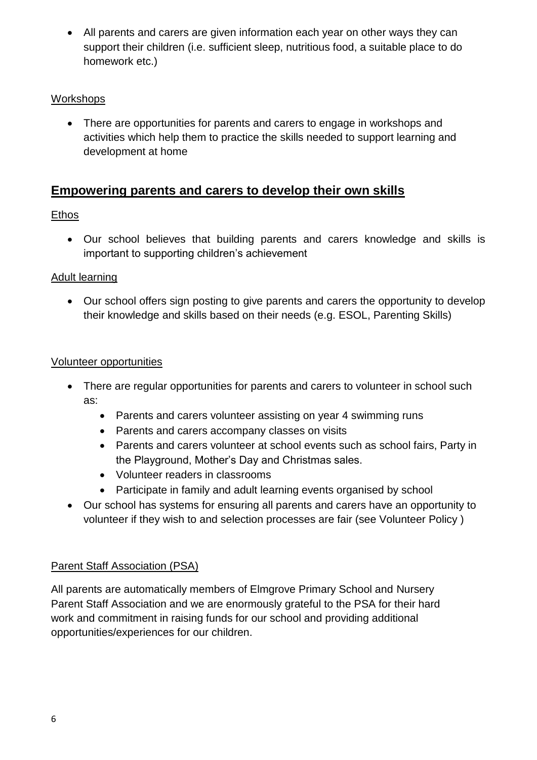All parents and carers are given information each year on other ways they can support their children (i.e. sufficient sleep, nutritious food, a suitable place to do homework etc.)

# Workshops

• There are opportunities for parents and carers to engage in workshops and activities which help them to practice the skills needed to support learning and development at home

# **Empowering parents and carers to develop their own skills**

# Ethos

 Our school believes that building parents and carers knowledge and skills is important to supporting children's achievement

# Adult learning

 Our school offers sign posting to give parents and carers the opportunity to develop their knowledge and skills based on their needs (e.g. ESOL, Parenting Skills)

# Volunteer opportunities

- There are regular opportunities for parents and carers to volunteer in school such as:
	- Parents and carers volunteer assisting on year 4 swimming runs
	- Parents and carers accompany classes on visits
	- Parents and carers volunteer at school events such as school fairs, Party in the Playground, Mother's Day and Christmas sales.
	- Volunteer readers in classrooms
	- Participate in family and adult learning events organised by school
- Our school has systems for ensuring all parents and carers have an opportunity to volunteer if they wish to and selection processes are fair (see Volunteer Policy )

# Parent Staff Association (PSA)

All parents are automatically members of Elmgrove Primary School and Nursery Parent Staff Association and we are enormously grateful to the PSA for their hard work and commitment in raising funds for our school and providing additional opportunities/experiences for our children.